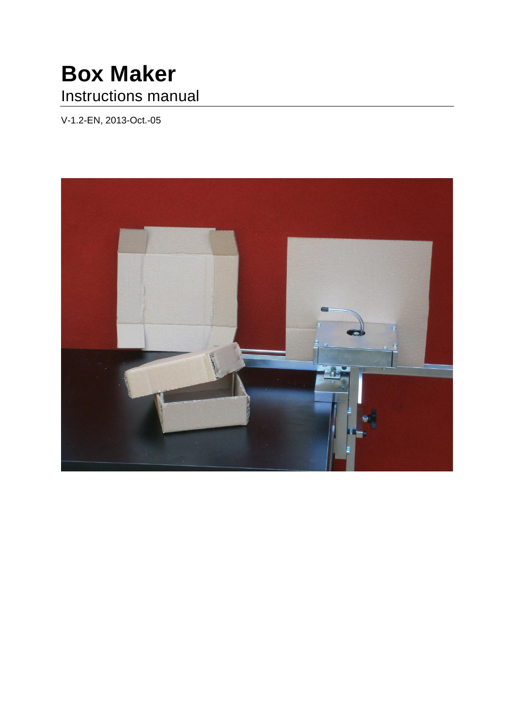# **Box Maker** Instructions manual

V-1.2-EN, 2013-Oct.-05

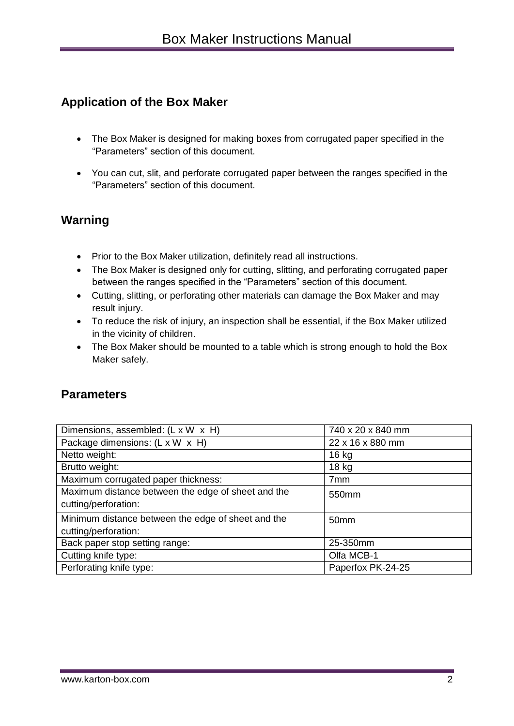# **Application of the Box Maker**

- The Box Maker is designed for making boxes from corrugated paper specified in the "Parameters" section of this document.
- You can cut, slit, and perforate corrugated paper between the ranges specified in the "Parameters" section of this document.

#### **Warning**

- Prior to the Box Maker utilization, definitely read all instructions.
- The Box Maker is designed only for cutting, slitting, and perforating corrugated paper between the ranges specified in the "Parameters" section of this document.
- Cutting, slitting, or perforating other materials can damage the Box Maker and may result injury.
- To reduce the risk of injury, an inspection shall be essential, if the Box Maker utilized in the vicinity of children.
- The Box Maker should be mounted to a table which is strong enough to hold the Box Maker safely.

#### **Parameters**

| Dimensions, assembled: (L x W x H)                 | 740 x 20 x 840 mm |
|----------------------------------------------------|-------------------|
| Package dimensions: (L x W x H)                    | 22 x 16 x 880 mm  |
| Netto weight:                                      | 16 kg             |
| Brutto weight:                                     | $18$ kg           |
| Maximum corrugated paper thickness:                | 7 <sub>mm</sub>   |
| Maximum distance between the edge of sheet and the | 550mm             |
| cutting/perforation:                               |                   |
| Minimum distance between the edge of sheet and the | 50 <sub>mm</sub>  |
| cutting/perforation:                               |                   |
| Back paper stop setting range:                     | 25-350mm          |
| Cutting knife type:                                | Olfa MCB-1        |
| Perforating knife type:                            | Paperfox PK-24-25 |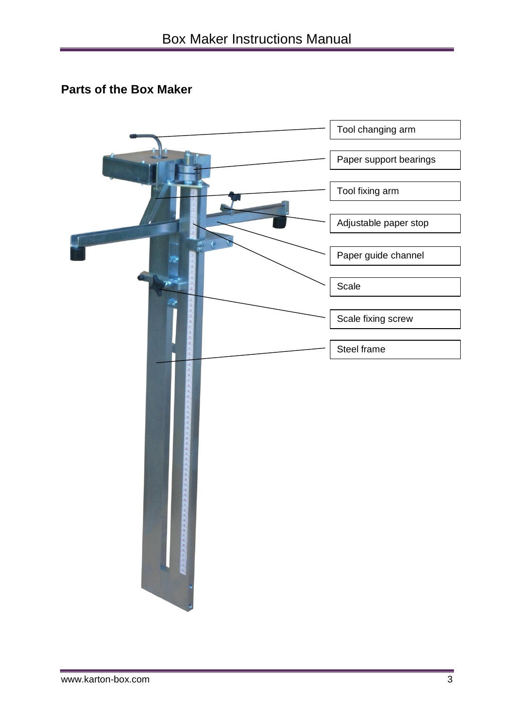# **Parts of the Box Maker**

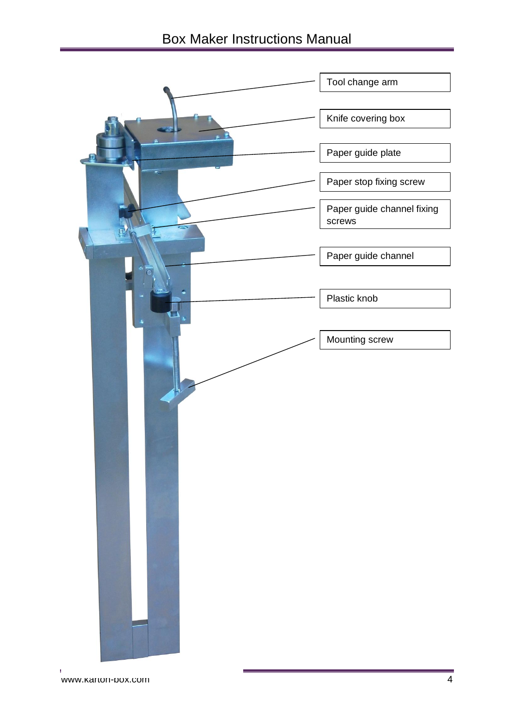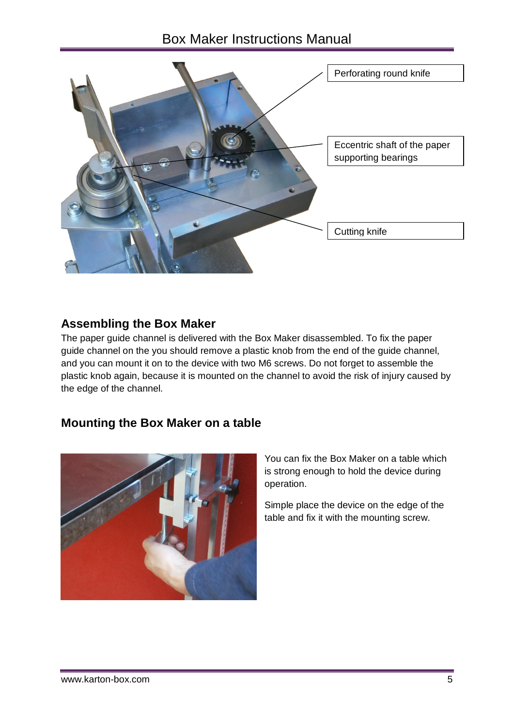# Box Maker Instructions Manual



#### **Assembling the Box Maker**

The paper guide channel is delivered with the Box Maker disassembled. To fix the paper guide channel on the you should remove a plastic knob from the end of the guide channel, and you can mount it on to the device with two M6 screws. Do not forget to assemble the plastic knob again, because it is mounted on the channel to avoid the risk of injury caused by the edge of the channel.

#### **Mounting the Box Maker on a table**



You can fix the Box Maker on a table which is strong enough to hold the device during operation.

Simple place the device on the edge of the table and fix it with the mounting screw.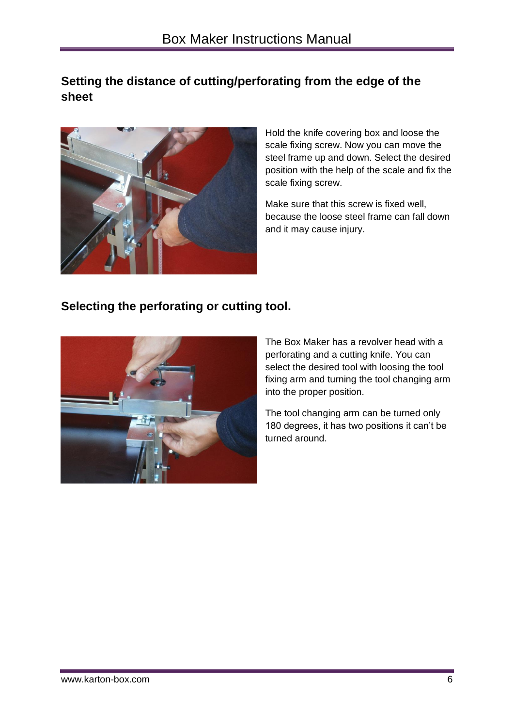# **Setting the distance of cutting/perforating from the edge of the sheet**



Hold the knife covering box and loose the scale fixing screw. Now you can move the steel frame up and down. Select the desired position with the help of the scale and fix the scale fixing screw.

Make sure that this screw is fixed well, because the loose steel frame can fall down and it may cause injury.

#### **Selecting the perforating or cutting tool.**



The Box Maker has a revolver head with a perforating and a cutting knife. You can select the desired tool with loosing the tool fixing arm and turning the tool changing arm into the proper position.

The tool changing arm can be turned only 180 degrees, it has two positions it can't be turned around.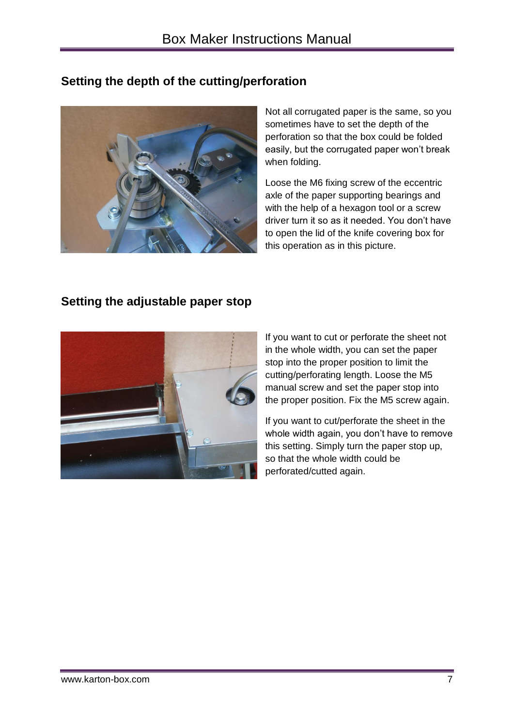# **Setting the depth of the cutting/perforation**



Not all corrugated paper is the same, so you sometimes have to set the depth of the perforation so that the box could be folded easily, but the corrugated paper won't break when folding.

Loose the M6 fixing screw of the eccentric axle of the paper supporting bearings and with the help of a hexagon tool or a screw driver turn it so as it needed. You don't have to open the lid of the knife covering box for this operation as in this picture.

## **Setting the adjustable paper stop**



If you want to cut or perforate the sheet not in the whole width, you can set the paper stop into the proper position to limit the cutting/perforating length. Loose the M5 manual screw and set the paper stop into the proper position. Fix the M5 screw again.

If you want to cut/perforate the sheet in the whole width again, you don't have to remove this setting. Simply turn the paper stop up, so that the whole width could be perforated/cutted again.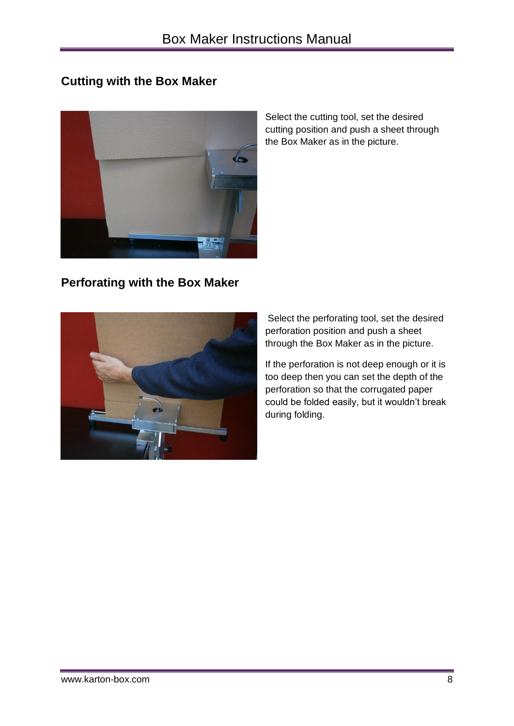### **Cutting with the Box Maker**



**Perforating with the Box Maker**

Select the cutting tool, set the desired cutting position and push a sheet through the Box Maker as in the picture.

Select the perforating tool, set the desired perforation position and push a sheet through the Box Maker as in the picture.

If the perforation is not deep enough or it is too deep then you can set the depth of the perforation so that the corrugated paper could be folded easily, but it wouldn't break during folding.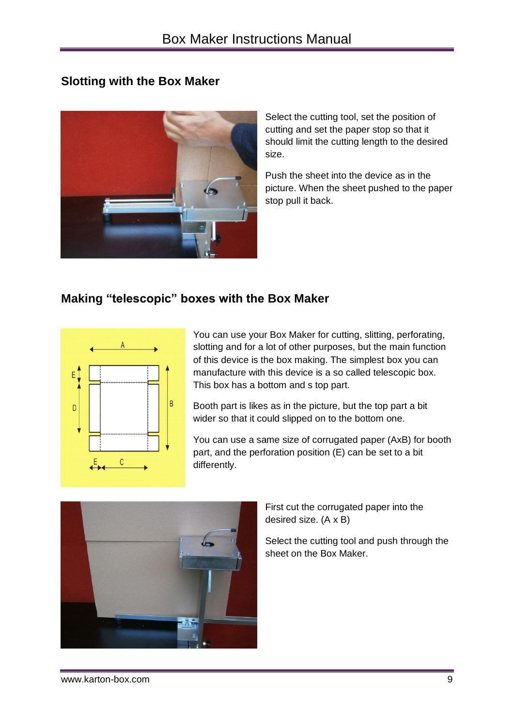### **Slotting with the Box Maker**



Select the cutting tool, set the position of cutting and set the paper stop so that it should limit the cutting length to the desired size.

Push the sheet into the device as in the picture. When the sheet pushed to the paper stop pull it back.

# **Making "telescopic" boxes with the Box Maker**



You can use your Box Maker for cutting, slitting, perforating, slotting and for a lot of other purposes, but the main function of this device is the box making. The simplest box you can manufacture with this device is a so called telescopic box. This box has a bottom and s top part.

Booth part is likes as in the picture, but the top part a bit wider so that it could slipped on to the bottom one.

You can use a same size of corrugated paper (AxB) for booth part, and the perforation position (E) can be set to a bit differently.



First cut the corrugated paper into the desired size. (A x B)

Select the cutting tool and push through the sheet on the Box Maker.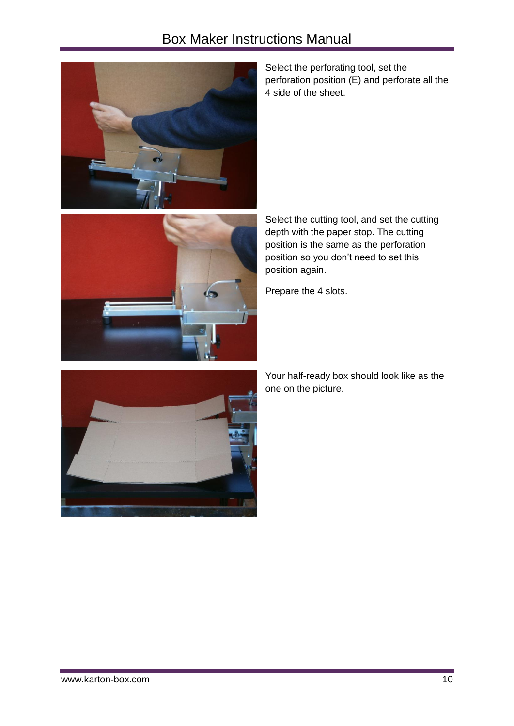# Box Maker Instructions Manual





Select the perforating tool, set the perforation position (E) and perforate all the 4 side of the sheet.

Select the cutting tool, and set the cutting depth with the paper stop. The cutting position is the same as the perforation position so you don't need to set this position again.

Prepare the 4 slots.



Your half-ready box should look like as the one on the picture.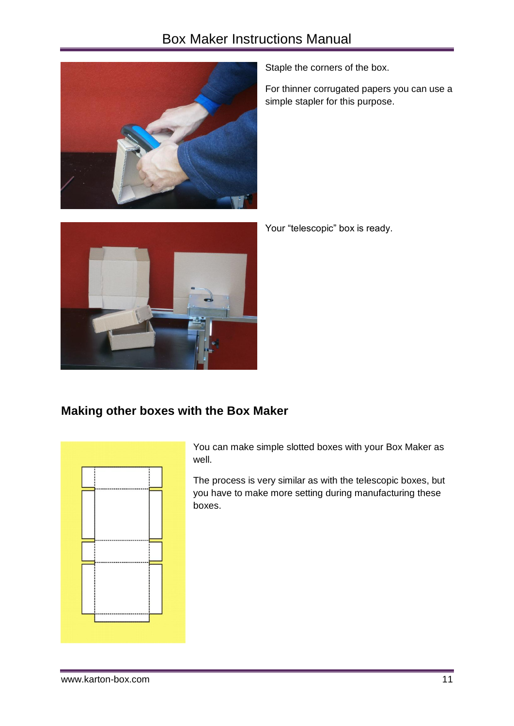# Box Maker Instructions Manual



Staple the corners of the box.

For thinner corrugated papers you can use a simple stapler for this purpose.



Your "telescopic" box is ready.

#### **Making other boxes with the Box Maker**



You can make simple slotted boxes with your Box Maker as well.

The process is very similar as with the telescopic boxes, but you have to make more setting during manufacturing these boxes.